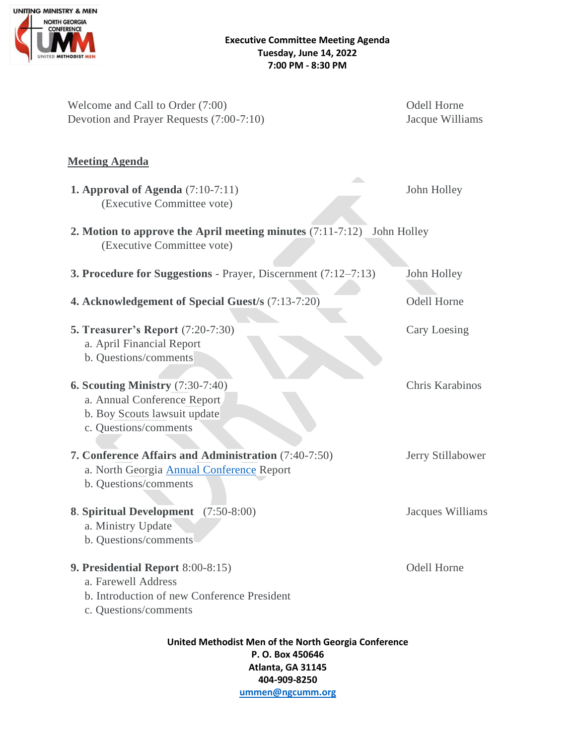

| Welcome and Call to Order (7:00)<br>Devotion and Prayer Requests (7:00-7:10)                                                      | <b>Odell Horne</b><br>Jacque Williams |
|-----------------------------------------------------------------------------------------------------------------------------------|---------------------------------------|
| <b>Meeting Agenda</b>                                                                                                             |                                       |
| <b>1. Approval of Agenda</b> $(7:10-7:11)$<br>(Executive Committee vote)                                                          | John Holley                           |
| 2. Motion to approve the April meeting minutes $(7:11-7:12)$<br>John Holley<br>(Executive Committee vote)                         |                                       |
| 3. Procedure for Suggestions - Prayer, Discernment (7:12-7:13)                                                                    | John Holley                           |
| 4. Acknowledgement of Special Guest/s (7:13-7:20)                                                                                 | <b>Odell Horne</b>                    |
| <b>5. Treasurer's Report (7:20-7:30)</b><br>a. April Financial Report<br>b. Questions/comments                                    | Cary Loesing                          |
| <b>6. Scouting Ministry (7:30-7:40)</b><br>a. Annual Conference Report<br>b. Boy Scouts lawsuit update<br>c. Questions/comments   | Chris Karabinos                       |
| 7. Conference Affairs and Administration (7:40-7:50)<br>a. North Georgia <b>Annual Conference</b> Report<br>b. Questions/comments | Jerry Stillabower                     |
| 8. Spiritual Development (7:50-8:00)<br>a. Ministry Update<br>b. Questions/comments                                               | Jacques Williams                      |
| 9. Presidential Report 8:00-8:15)<br>a. Farewell Address<br>b. Introduction of new Conference President<br>c. Questions/comments  | <b>Odell Horne</b>                    |
| United Methodist Men of the North Georgia Conference<br>P.O. Box 450646                                                           |                                       |

**Atlanta, GA 31145 404-909-8250**

**[ummen@ngcumm.org](mailto:ummen@ngcumm.org)**